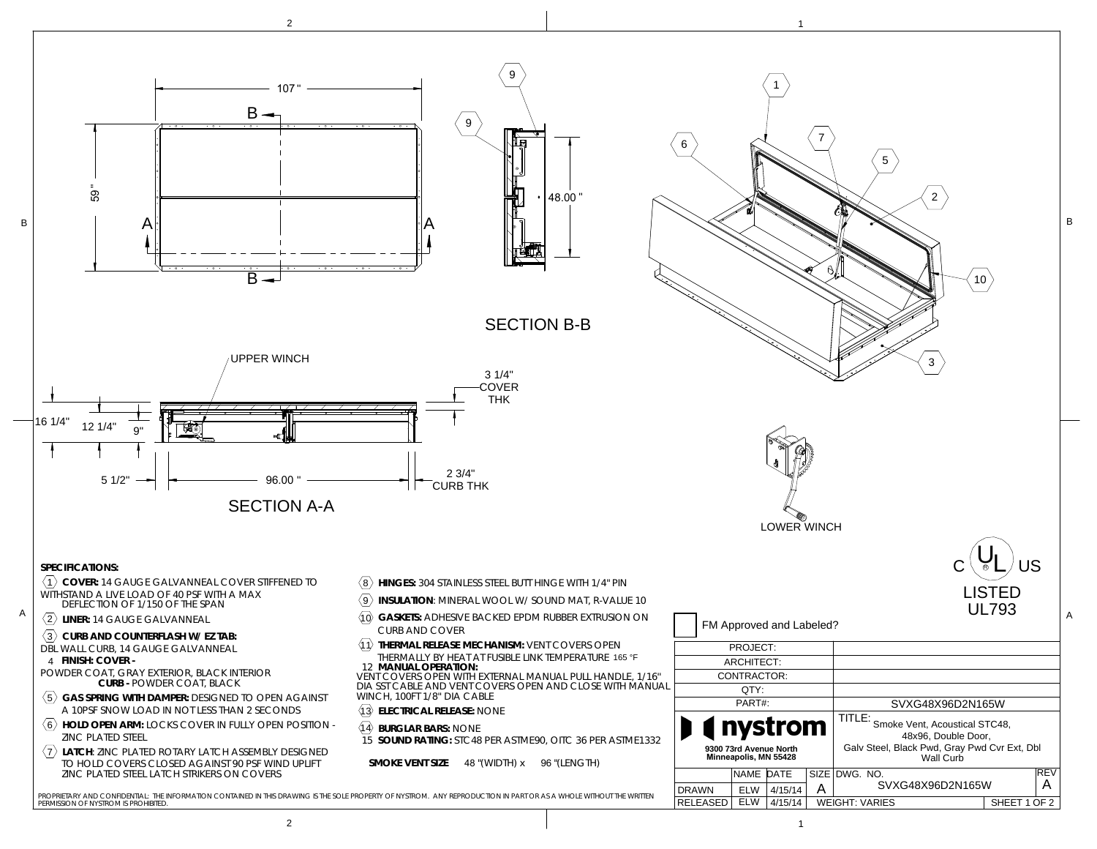

 $\mathsf{c}^{\,(\mathsf{U}_{\mathsf{L}})}$ us

2

10

B

3

5

LISTEDUL793

> REVA

Wall Curb

Galv Steel, Black Pwd, Gray Pwd Cvr Ext, Dbl

2 $1$